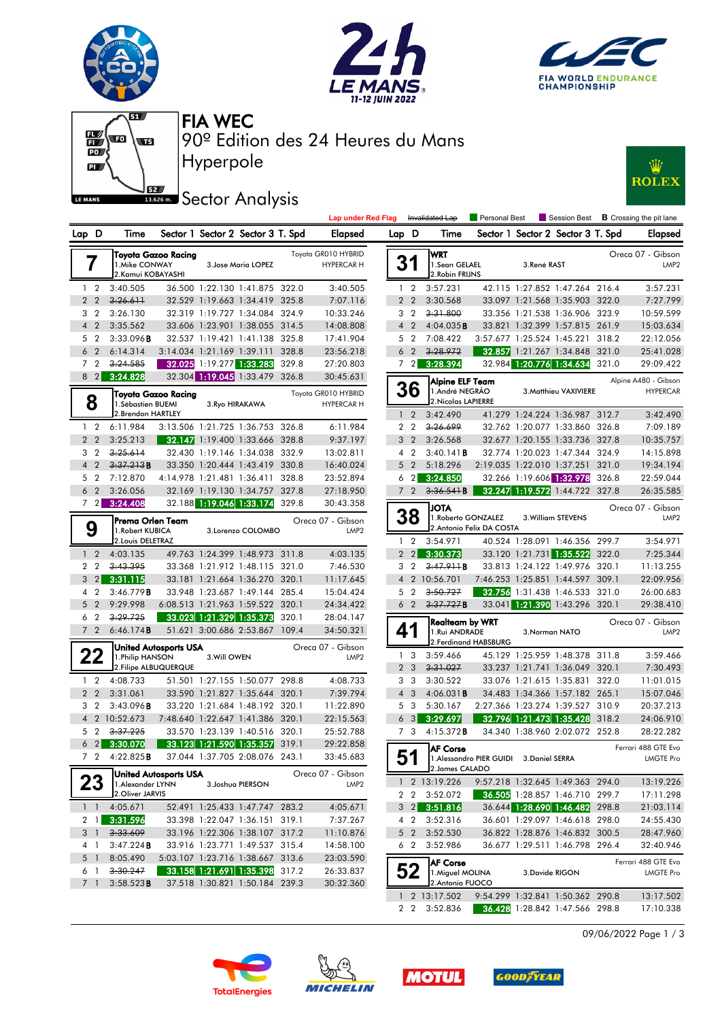



**Lap under Red Flag** Invalidated Lap



Personal Best **B** Crossing the pit lane



Hyperpole 90º Edition des 24 Heures du Mans FIA WEC

## **Sector Analysis**



| Toyota GR010 HYBRID<br>Toyota Gazoo Racing<br>7<br>1. Mike CONWAY<br>3. Jose Maria LOPEZ<br><b>HYPERCAR H</b><br>2. Kamui KOBAYASHI<br>2<br>3:40.505<br>36.500 1:22.130 1:41.875<br>322.0<br>3:40.505<br>1<br>32.529<br>1:19.663<br>325.8<br>$\overline{2}$<br>$\overline{2}$<br>3:26.611<br>1:34.419<br>7:07.116<br>3<br>2<br>3:26.130<br>32.319<br>1:19.727<br>1:34.084<br>324.9<br>10:33.246<br>$\overline{2}$<br>3:35.562<br>1:23.901<br>314.5<br>14:08.808<br>$\overline{4}$<br>33.606<br>1:38.055<br>5<br>2<br>3:33.096B<br>32.537<br>1:19.421<br>1:41.138<br>325.8<br>17:41.904<br>$\overline{2}$<br>6:14.314<br>328.8<br>6<br>3:14.034<br>1:21.169<br>1:39.111<br>23:56.218<br>7<br>$\overline{2}$<br>3:24.585<br>32.025<br>1:19.277<br>1:33.283<br>329.8<br>27:20.803<br>8<br>3:24.828<br>1:33.479<br>326.8<br>30:45.631<br>$\overline{2}$<br>32.304 1:19.045<br>Toyota GR010 HYBRID<br>Toyota Gazoo Racing<br>8<br>1.Sébastien BUEMI<br>3. Ryo HIRAKAWA<br><b>HYPERCAR H</b><br>2. Brendon HARTLEY<br>6:11.984<br>326.8<br>2<br>3:13.506<br>1:21.725<br>1:36.753<br>6:11.984<br>1<br>$\overline{2}$<br>$\overline{2}$<br>3:25.213<br>32.147<br>1:19.400<br>1:33.666<br>328.8<br>9:37.197<br>3<br>$\overline{2}$<br>3:25.614<br>32.430<br>1:19.146<br>1:34.038<br>332.9<br>13:02.811<br>$\overline{2}$<br>3:37.213B<br>$\overline{4}$<br>33.350<br>1:20.444<br>1:43.419<br>330.8<br>16:40.024<br>$\overline{2}$<br>7:12.870<br>5<br>4:14.978<br>1:21.481<br>1:36.411<br>328.8<br>23:52.894<br>$\overline{2}$<br>3:26.056<br>1:19.130<br>6<br>32.169<br>1:34.757<br>327.8<br>27:18.950<br>3:24.408<br>$\overline{2}$<br>32.188 1:19.046<br>1:33.174<br>7<br>329.8<br>30:43.358<br>Oreca 07 - Gibson<br>Prema Orlen Team<br>9<br>1. Robert KUBICA<br>3.Lorenzo COLOMBO<br>LMP <sub>2</sub><br>2. Louis DELETRAZ<br>1:24.399 1:48.973<br>311.8<br>$\overline{2}$<br>4:03.135<br>49.763<br>4:03.135<br>1<br>3:43.395<br>321.0<br>7:46.530<br>2<br>2<br>33.368<br>1:21.912<br>1:48.115<br>3<br>3:31.115<br>$\overline{2}$<br>33.181<br>1:21.664<br>1:36.270<br>320.1<br>11:17.645<br>1:23.687<br>15:04.424<br>4<br>2<br>3:46.779B<br>33.948<br>1:49.144<br>285.4<br>5<br>$\overline{2}$<br>9:29.998<br>1:21.963<br>24:34.422<br>6:08.513<br>1:59.522<br>320.1<br>3:29.725<br>6<br>2<br>1:21.329<br>320.1<br>28:04.147<br>33.023<br>1:35.373<br>7<br>$\overline{2}$<br>109.4<br>6:46.174B<br>51.621<br>3:00.686 2:53.867<br>34:50.321<br>Oreca 07 - Gibson<br><b>United Autosports USA</b><br><b>22</b><br>1. Philip HANSON<br>3. Will OWEN<br>LMP <sub>2</sub> |  |  |  |  |  |  |  |  |  |
|--------------------------------------------------------------------------------------------------------------------------------------------------------------------------------------------------------------------------------------------------------------------------------------------------------------------------------------------------------------------------------------------------------------------------------------------------------------------------------------------------------------------------------------------------------------------------------------------------------------------------------------------------------------------------------------------------------------------------------------------------------------------------------------------------------------------------------------------------------------------------------------------------------------------------------------------------------------------------------------------------------------------------------------------------------------------------------------------------------------------------------------------------------------------------------------------------------------------------------------------------------------------------------------------------------------------------------------------------------------------------------------------------------------------------------------------------------------------------------------------------------------------------------------------------------------------------------------------------------------------------------------------------------------------------------------------------------------------------------------------------------------------------------------------------------------------------------------------------------------------------------------------------------------------------------------------------------------------------------------------------------------------------------------------------------------------------------------------------------------------------------------------------------------------------------------------------------------------------------------------------------------------------------------------------------------------------------------------------------------------------------------------------------------------------------------------------------------------------------------------------------------------------------------------------------------------|--|--|--|--|--|--|--|--|--|
|                                                                                                                                                                                                                                                                                                                                                                                                                                                                                                                                                                                                                                                                                                                                                                                                                                                                                                                                                                                                                                                                                                                                                                                                                                                                                                                                                                                                                                                                                                                                                                                                                                                                                                                                                                                                                                                                                                                                                                                                                                                                                                                                                                                                                                                                                                                                                                                                                                                                                                                                                                    |  |  |  |  |  |  |  |  |  |
|                                                                                                                                                                                                                                                                                                                                                                                                                                                                                                                                                                                                                                                                                                                                                                                                                                                                                                                                                                                                                                                                                                                                                                                                                                                                                                                                                                                                                                                                                                                                                                                                                                                                                                                                                                                                                                                                                                                                                                                                                                                                                                                                                                                                                                                                                                                                                                                                                                                                                                                                                                    |  |  |  |  |  |  |  |  |  |
|                                                                                                                                                                                                                                                                                                                                                                                                                                                                                                                                                                                                                                                                                                                                                                                                                                                                                                                                                                                                                                                                                                                                                                                                                                                                                                                                                                                                                                                                                                                                                                                                                                                                                                                                                                                                                                                                                                                                                                                                                                                                                                                                                                                                                                                                                                                                                                                                                                                                                                                                                                    |  |  |  |  |  |  |  |  |  |
|                                                                                                                                                                                                                                                                                                                                                                                                                                                                                                                                                                                                                                                                                                                                                                                                                                                                                                                                                                                                                                                                                                                                                                                                                                                                                                                                                                                                                                                                                                                                                                                                                                                                                                                                                                                                                                                                                                                                                                                                                                                                                                                                                                                                                                                                                                                                                                                                                                                                                                                                                                    |  |  |  |  |  |  |  |  |  |
|                                                                                                                                                                                                                                                                                                                                                                                                                                                                                                                                                                                                                                                                                                                                                                                                                                                                                                                                                                                                                                                                                                                                                                                                                                                                                                                                                                                                                                                                                                                                                                                                                                                                                                                                                                                                                                                                                                                                                                                                                                                                                                                                                                                                                                                                                                                                                                                                                                                                                                                                                                    |  |  |  |  |  |  |  |  |  |
|                                                                                                                                                                                                                                                                                                                                                                                                                                                                                                                                                                                                                                                                                                                                                                                                                                                                                                                                                                                                                                                                                                                                                                                                                                                                                                                                                                                                                                                                                                                                                                                                                                                                                                                                                                                                                                                                                                                                                                                                                                                                                                                                                                                                                                                                                                                                                                                                                                                                                                                                                                    |  |  |  |  |  |  |  |  |  |
|                                                                                                                                                                                                                                                                                                                                                                                                                                                                                                                                                                                                                                                                                                                                                                                                                                                                                                                                                                                                                                                                                                                                                                                                                                                                                                                                                                                                                                                                                                                                                                                                                                                                                                                                                                                                                                                                                                                                                                                                                                                                                                                                                                                                                                                                                                                                                                                                                                                                                                                                                                    |  |  |  |  |  |  |  |  |  |
|                                                                                                                                                                                                                                                                                                                                                                                                                                                                                                                                                                                                                                                                                                                                                                                                                                                                                                                                                                                                                                                                                                                                                                                                                                                                                                                                                                                                                                                                                                                                                                                                                                                                                                                                                                                                                                                                                                                                                                                                                                                                                                                                                                                                                                                                                                                                                                                                                                                                                                                                                                    |  |  |  |  |  |  |  |  |  |
|                                                                                                                                                                                                                                                                                                                                                                                                                                                                                                                                                                                                                                                                                                                                                                                                                                                                                                                                                                                                                                                                                                                                                                                                                                                                                                                                                                                                                                                                                                                                                                                                                                                                                                                                                                                                                                                                                                                                                                                                                                                                                                                                                                                                                                                                                                                                                                                                                                                                                                                                                                    |  |  |  |  |  |  |  |  |  |
|                                                                                                                                                                                                                                                                                                                                                                                                                                                                                                                                                                                                                                                                                                                                                                                                                                                                                                                                                                                                                                                                                                                                                                                                                                                                                                                                                                                                                                                                                                                                                                                                                                                                                                                                                                                                                                                                                                                                                                                                                                                                                                                                                                                                                                                                                                                                                                                                                                                                                                                                                                    |  |  |  |  |  |  |  |  |  |
|                                                                                                                                                                                                                                                                                                                                                                                                                                                                                                                                                                                                                                                                                                                                                                                                                                                                                                                                                                                                                                                                                                                                                                                                                                                                                                                                                                                                                                                                                                                                                                                                                                                                                                                                                                                                                                                                                                                                                                                                                                                                                                                                                                                                                                                                                                                                                                                                                                                                                                                                                                    |  |  |  |  |  |  |  |  |  |
|                                                                                                                                                                                                                                                                                                                                                                                                                                                                                                                                                                                                                                                                                                                                                                                                                                                                                                                                                                                                                                                                                                                                                                                                                                                                                                                                                                                                                                                                                                                                                                                                                                                                                                                                                                                                                                                                                                                                                                                                                                                                                                                                                                                                                                                                                                                                                                                                                                                                                                                                                                    |  |  |  |  |  |  |  |  |  |
|                                                                                                                                                                                                                                                                                                                                                                                                                                                                                                                                                                                                                                                                                                                                                                                                                                                                                                                                                                                                                                                                                                                                                                                                                                                                                                                                                                                                                                                                                                                                                                                                                                                                                                                                                                                                                                                                                                                                                                                                                                                                                                                                                                                                                                                                                                                                                                                                                                                                                                                                                                    |  |  |  |  |  |  |  |  |  |
|                                                                                                                                                                                                                                                                                                                                                                                                                                                                                                                                                                                                                                                                                                                                                                                                                                                                                                                                                                                                                                                                                                                                                                                                                                                                                                                                                                                                                                                                                                                                                                                                                                                                                                                                                                                                                                                                                                                                                                                                                                                                                                                                                                                                                                                                                                                                                                                                                                                                                                                                                                    |  |  |  |  |  |  |  |  |  |
|                                                                                                                                                                                                                                                                                                                                                                                                                                                                                                                                                                                                                                                                                                                                                                                                                                                                                                                                                                                                                                                                                                                                                                                                                                                                                                                                                                                                                                                                                                                                                                                                                                                                                                                                                                                                                                                                                                                                                                                                                                                                                                                                                                                                                                                                                                                                                                                                                                                                                                                                                                    |  |  |  |  |  |  |  |  |  |
|                                                                                                                                                                                                                                                                                                                                                                                                                                                                                                                                                                                                                                                                                                                                                                                                                                                                                                                                                                                                                                                                                                                                                                                                                                                                                                                                                                                                                                                                                                                                                                                                                                                                                                                                                                                                                                                                                                                                                                                                                                                                                                                                                                                                                                                                                                                                                                                                                                                                                                                                                                    |  |  |  |  |  |  |  |  |  |
|                                                                                                                                                                                                                                                                                                                                                                                                                                                                                                                                                                                                                                                                                                                                                                                                                                                                                                                                                                                                                                                                                                                                                                                                                                                                                                                                                                                                                                                                                                                                                                                                                                                                                                                                                                                                                                                                                                                                                                                                                                                                                                                                                                                                                                                                                                                                                                                                                                                                                                                                                                    |  |  |  |  |  |  |  |  |  |
|                                                                                                                                                                                                                                                                                                                                                                                                                                                                                                                                                                                                                                                                                                                                                                                                                                                                                                                                                                                                                                                                                                                                                                                                                                                                                                                                                                                                                                                                                                                                                                                                                                                                                                                                                                                                                                                                                                                                                                                                                                                                                                                                                                                                                                                                                                                                                                                                                                                                                                                                                                    |  |  |  |  |  |  |  |  |  |
|                                                                                                                                                                                                                                                                                                                                                                                                                                                                                                                                                                                                                                                                                                                                                                                                                                                                                                                                                                                                                                                                                                                                                                                                                                                                                                                                                                                                                                                                                                                                                                                                                                                                                                                                                                                                                                                                                                                                                                                                                                                                                                                                                                                                                                                                                                                                                                                                                                                                                                                                                                    |  |  |  |  |  |  |  |  |  |
|                                                                                                                                                                                                                                                                                                                                                                                                                                                                                                                                                                                                                                                                                                                                                                                                                                                                                                                                                                                                                                                                                                                                                                                                                                                                                                                                                                                                                                                                                                                                                                                                                                                                                                                                                                                                                                                                                                                                                                                                                                                                                                                                                                                                                                                                                                                                                                                                                                                                                                                                                                    |  |  |  |  |  |  |  |  |  |
|                                                                                                                                                                                                                                                                                                                                                                                                                                                                                                                                                                                                                                                                                                                                                                                                                                                                                                                                                                                                                                                                                                                                                                                                                                                                                                                                                                                                                                                                                                                                                                                                                                                                                                                                                                                                                                                                                                                                                                                                                                                                                                                                                                                                                                                                                                                                                                                                                                                                                                                                                                    |  |  |  |  |  |  |  |  |  |
|                                                                                                                                                                                                                                                                                                                                                                                                                                                                                                                                                                                                                                                                                                                                                                                                                                                                                                                                                                                                                                                                                                                                                                                                                                                                                                                                                                                                                                                                                                                                                                                                                                                                                                                                                                                                                                                                                                                                                                                                                                                                                                                                                                                                                                                                                                                                                                                                                                                                                                                                                                    |  |  |  |  |  |  |  |  |  |
|                                                                                                                                                                                                                                                                                                                                                                                                                                                                                                                                                                                                                                                                                                                                                                                                                                                                                                                                                                                                                                                                                                                                                                                                                                                                                                                                                                                                                                                                                                                                                                                                                                                                                                                                                                                                                                                                                                                                                                                                                                                                                                                                                                                                                                                                                                                                                                                                                                                                                                                                                                    |  |  |  |  |  |  |  |  |  |
|                                                                                                                                                                                                                                                                                                                                                                                                                                                                                                                                                                                                                                                                                                                                                                                                                                                                                                                                                                                                                                                                                                                                                                                                                                                                                                                                                                                                                                                                                                                                                                                                                                                                                                                                                                                                                                                                                                                                                                                                                                                                                                                                                                                                                                                                                                                                                                                                                                                                                                                                                                    |  |  |  |  |  |  |  |  |  |
|                                                                                                                                                                                                                                                                                                                                                                                                                                                                                                                                                                                                                                                                                                                                                                                                                                                                                                                                                                                                                                                                                                                                                                                                                                                                                                                                                                                                                                                                                                                                                                                                                                                                                                                                                                                                                                                                                                                                                                                                                                                                                                                                                                                                                                                                                                                                                                                                                                                                                                                                                                    |  |  |  |  |  |  |  |  |  |
|                                                                                                                                                                                                                                                                                                                                                                                                                                                                                                                                                                                                                                                                                                                                                                                                                                                                                                                                                                                                                                                                                                                                                                                                                                                                                                                                                                                                                                                                                                                                                                                                                                                                                                                                                                                                                                                                                                                                                                                                                                                                                                                                                                                                                                                                                                                                                                                                                                                                                                                                                                    |  |  |  |  |  |  |  |  |  |
|                                                                                                                                                                                                                                                                                                                                                                                                                                                                                                                                                                                                                                                                                                                                                                                                                                                                                                                                                                                                                                                                                                                                                                                                                                                                                                                                                                                                                                                                                                                                                                                                                                                                                                                                                                                                                                                                                                                                                                                                                                                                                                                                                                                                                                                                                                                                                                                                                                                                                                                                                                    |  |  |  |  |  |  |  |  |  |
|                                                                                                                                                                                                                                                                                                                                                                                                                                                                                                                                                                                                                                                                                                                                                                                                                                                                                                                                                                                                                                                                                                                                                                                                                                                                                                                                                                                                                                                                                                                                                                                                                                                                                                                                                                                                                                                                                                                                                                                                                                                                                                                                                                                                                                                                                                                                                                                                                                                                                                                                                                    |  |  |  |  |  |  |  |  |  |
|                                                                                                                                                                                                                                                                                                                                                                                                                                                                                                                                                                                                                                                                                                                                                                                                                                                                                                                                                                                                                                                                                                                                                                                                                                                                                                                                                                                                                                                                                                                                                                                                                                                                                                                                                                                                                                                                                                                                                                                                                                                                                                                                                                                                                                                                                                                                                                                                                                                                                                                                                                    |  |  |  |  |  |  |  |  |  |
| 2. Filipe ALBUQUERQUE                                                                                                                                                                                                                                                                                                                                                                                                                                                                                                                                                                                                                                                                                                                                                                                                                                                                                                                                                                                                                                                                                                                                                                                                                                                                                                                                                                                                                                                                                                                                                                                                                                                                                                                                                                                                                                                                                                                                                                                                                                                                                                                                                                                                                                                                                                                                                                                                                                                                                                                                              |  |  |  |  |  |  |  |  |  |
| 2<br>4:08.733<br>51.501<br>1:27.155<br>1:50.077<br>298.8<br>4:08.733<br>1                                                                                                                                                                                                                                                                                                                                                                                                                                                                                                                                                                                                                                                                                                                                                                                                                                                                                                                                                                                                                                                                                                                                                                                                                                                                                                                                                                                                                                                                                                                                                                                                                                                                                                                                                                                                                                                                                                                                                                                                                                                                                                                                                                                                                                                                                                                                                                                                                                                                                          |  |  |  |  |  |  |  |  |  |
| 33.590<br>1:21.827<br>320.1<br>7:39.794<br>$\overline{2}$<br>$\overline{2}$<br>3:31.061<br>1:35.644                                                                                                                                                                                                                                                                                                                                                                                                                                                                                                                                                                                                                                                                                                                                                                                                                                                                                                                                                                                                                                                                                                                                                                                                                                                                                                                                                                                                                                                                                                                                                                                                                                                                                                                                                                                                                                                                                                                                                                                                                                                                                                                                                                                                                                                                                                                                                                                                                                                                |  |  |  |  |  |  |  |  |  |
| 3<br>2<br>3:43.096B<br>33.220<br>1:21.684<br>1:48.192<br>320.1<br>11:22.890                                                                                                                                                                                                                                                                                                                                                                                                                                                                                                                                                                                                                                                                                                                                                                                                                                                                                                                                                                                                                                                                                                                                                                                                                                                                                                                                                                                                                                                                                                                                                                                                                                                                                                                                                                                                                                                                                                                                                                                                                                                                                                                                                                                                                                                                                                                                                                                                                                                                                        |  |  |  |  |  |  |  |  |  |
| $\overline{4}$<br>$\overline{2}$<br>10:52.673<br>7:48.640<br>1:22.647<br>1:41.386<br>320.1<br>22:15.563                                                                                                                                                                                                                                                                                                                                                                                                                                                                                                                                                                                                                                                                                                                                                                                                                                                                                                                                                                                                                                                                                                                                                                                                                                                                                                                                                                                                                                                                                                                                                                                                                                                                                                                                                                                                                                                                                                                                                                                                                                                                                                                                                                                                                                                                                                                                                                                                                                                            |  |  |  |  |  |  |  |  |  |
| 3:37.225<br>5<br>2<br>33.570<br>1:23.139<br>1:40.516<br>320.1<br>25:52.788                                                                                                                                                                                                                                                                                                                                                                                                                                                                                                                                                                                                                                                                                                                                                                                                                                                                                                                                                                                                                                                                                                                                                                                                                                                                                                                                                                                                                                                                                                                                                                                                                                                                                                                                                                                                                                                                                                                                                                                                                                                                                                                                                                                                                                                                                                                                                                                                                                                                                         |  |  |  |  |  |  |  |  |  |
| 29:22.858<br>6<br>$\overline{2}$<br>3:30.070<br>33.123<br>1:21.590<br>1:35.357<br>319.1                                                                                                                                                                                                                                                                                                                                                                                                                                                                                                                                                                                                                                                                                                                                                                                                                                                                                                                                                                                                                                                                                                                                                                                                                                                                                                                                                                                                                                                                                                                                                                                                                                                                                                                                                                                                                                                                                                                                                                                                                                                                                                                                                                                                                                                                                                                                                                                                                                                                            |  |  |  |  |  |  |  |  |  |
| 7<br>2<br>4:22.825B<br>1:37.705 2:08.076<br>243.1<br>33:45.683<br>37.044                                                                                                                                                                                                                                                                                                                                                                                                                                                                                                                                                                                                                                                                                                                                                                                                                                                                                                                                                                                                                                                                                                                                                                                                                                                                                                                                                                                                                                                                                                                                                                                                                                                                                                                                                                                                                                                                                                                                                                                                                                                                                                                                                                                                                                                                                                                                                                                                                                                                                           |  |  |  |  |  |  |  |  |  |
| <b>United Autosports USA</b><br>Oreca 07 - Gibson                                                                                                                                                                                                                                                                                                                                                                                                                                                                                                                                                                                                                                                                                                                                                                                                                                                                                                                                                                                                                                                                                                                                                                                                                                                                                                                                                                                                                                                                                                                                                                                                                                                                                                                                                                                                                                                                                                                                                                                                                                                                                                                                                                                                                                                                                                                                                                                                                                                                                                                  |  |  |  |  |  |  |  |  |  |
| 23<br>1. Alexander LYNN<br>3. Joshua PIERSON<br>LMP <sub>2</sub><br>2.Oliver JARVIS                                                                                                                                                                                                                                                                                                                                                                                                                                                                                                                                                                                                                                                                                                                                                                                                                                                                                                                                                                                                                                                                                                                                                                                                                                                                                                                                                                                                                                                                                                                                                                                                                                                                                                                                                                                                                                                                                                                                                                                                                                                                                                                                                                                                                                                                                                                                                                                                                                                                                |  |  |  |  |  |  |  |  |  |
| 1<br>1<br>4:05.671<br>52.491<br>1:25.433 1:47.747<br>283.2<br>4:05.671                                                                                                                                                                                                                                                                                                                                                                                                                                                                                                                                                                                                                                                                                                                                                                                                                                                                                                                                                                                                                                                                                                                                                                                                                                                                                                                                                                                                                                                                                                                                                                                                                                                                                                                                                                                                                                                                                                                                                                                                                                                                                                                                                                                                                                                                                                                                                                                                                                                                                             |  |  |  |  |  |  |  |  |  |
| 2<br>3:31.596<br>33.398<br>1:22.047<br>1:36.151<br>319.1<br>7:37.267<br>1                                                                                                                                                                                                                                                                                                                                                                                                                                                                                                                                                                                                                                                                                                                                                                                                                                                                                                                                                                                                                                                                                                                                                                                                                                                                                                                                                                                                                                                                                                                                                                                                                                                                                                                                                                                                                                                                                                                                                                                                                                                                                                                                                                                                                                                                                                                                                                                                                                                                                          |  |  |  |  |  |  |  |  |  |
| 3<br>3:33.609<br>33.196<br>1:22.306 1:38.107<br>317.2<br>11:10.876<br>1                                                                                                                                                                                                                                                                                                                                                                                                                                                                                                                                                                                                                                                                                                                                                                                                                                                                                                                                                                                                                                                                                                                                                                                                                                                                                                                                                                                                                                                                                                                                                                                                                                                                                                                                                                                                                                                                                                                                                                                                                                                                                                                                                                                                                                                                                                                                                                                                                                                                                            |  |  |  |  |  |  |  |  |  |
| 4<br>3:47.224B<br>33.916 1:23.771<br>1:49.537<br>315.4<br>14:58.100<br>1                                                                                                                                                                                                                                                                                                                                                                                                                                                                                                                                                                                                                                                                                                                                                                                                                                                                                                                                                                                                                                                                                                                                                                                                                                                                                                                                                                                                                                                                                                                                                                                                                                                                                                                                                                                                                                                                                                                                                                                                                                                                                                                                                                                                                                                                                                                                                                                                                                                                                           |  |  |  |  |  |  |  |  |  |
| 5<br>1<br>8:05.490<br>5:03.107<br>1:23.716 1:38.667<br>313.6<br>23:03.590                                                                                                                                                                                                                                                                                                                                                                                                                                                                                                                                                                                                                                                                                                                                                                                                                                                                                                                                                                                                                                                                                                                                                                                                                                                                                                                                                                                                                                                                                                                                                                                                                                                                                                                                                                                                                                                                                                                                                                                                                                                                                                                                                                                                                                                                                                                                                                                                                                                                                          |  |  |  |  |  |  |  |  |  |
| 3:30.247<br>1:35.398<br>33.158 1:21.691<br>317.2<br>26:33.837<br>6<br>1                                                                                                                                                                                                                                                                                                                                                                                                                                                                                                                                                                                                                                                                                                                                                                                                                                                                                                                                                                                                                                                                                                                                                                                                                                                                                                                                                                                                                                                                                                                                                                                                                                                                                                                                                                                                                                                                                                                                                                                                                                                                                                                                                                                                                                                                                                                                                                                                                                                                                            |  |  |  |  |  |  |  |  |  |
| 7<br>1<br>239.3<br>30:32.360<br>3:58.523B<br>37.518 1:30.821<br>1:50.184                                                                                                                                                                                                                                                                                                                                                                                                                                                                                                                                                                                                                                                                                                                                                                                                                                                                                                                                                                                                                                                                                                                                                                                                                                                                                                                                                                                                                                                                                                                                                                                                                                                                                                                                                                                                                                                                                                                                                                                                                                                                                                                                                                                                                                                                                                                                                                                                                                                                                           |  |  |  |  |  |  |  |  |  |

| Lap            | D              | Time                                                     |                           | Sector 1 Sector 2 Sector 3 T. Spd |                       |                                       | Elapsed                                 |  |  |  |
|----------------|----------------|----------------------------------------------------------|---------------------------|-----------------------------------|-----------------------|---------------------------------------|-----------------------------------------|--|--|--|
| 31             |                | WRT<br>1.Sean GELAEL<br>2. Robin FRIJNS                  |                           | 3.René RAST                       |                       | Oreca 07 - Gibson<br>LMP <sub>2</sub> |                                         |  |  |  |
| 1              | 2              | 3:57.231                                                 |                           | 42.115 1:27.852 1:47.264          |                       | 216.4                                 | 3:57.231                                |  |  |  |
| $\overline{2}$ | $\overline{2}$ | 3:30.568                                                 | 33.097                    | 1:21.568                          | 1:35.903              | 322.0                                 | 7:27.799                                |  |  |  |
| 3              | 2              | 3:31.800                                                 | 33.356                    | 1:21.538 1:36.906                 |                       | 323.9                                 | 10:59.599                               |  |  |  |
| $\overline{4}$ | $\overline{2}$ | 4:04.035B                                                | 33.821                    | 1:32.399                          | 1:57.815              | 261.9                                 | 15:03.634                               |  |  |  |
| 5              | 2              | 7:08.422                                                 | 3:57.677                  | 1:25.524                          | 1:45.221              | 318.2                                 | 22:12.056                               |  |  |  |
| 6              | $\overline{2}$ | 3:28.972                                                 | 32.857                    | 1:21.267                          | 1:34.848              | 321.0                                 | 25:41.028                               |  |  |  |
| 7              | $\overline{2}$ | 3:28.394                                                 | 32.984                    | 1:20.776                          | 1:34.634              | 321.0                                 | 29:09.422                               |  |  |  |
|                | 36             | Alpine ELF Team<br>1.André NEGRÃO<br>2. Nicolas LAPIERRE |                           |                                   | 3. Matthieu VAXIVIERE |                                       | Alpine A480 - Gibson<br><b>HYPERCAR</b> |  |  |  |
| 1              | $\overline{2}$ | 3:42.490                                                 | 41.279                    | 1:24.224                          | 1:36.987              | 312.7                                 | 3:42.490                                |  |  |  |
| 2              | 2              | <del>3:26.699</del>                                      | 32.762                    | 1:20.077                          | 1:33.860              | 326.8                                 | 7:09.189                                |  |  |  |
| 3              | $\overline{2}$ | 3:26.568                                                 | 32.677                    | 1:20.155                          | 1:33.736              | 327.8                                 | 10:35.757                               |  |  |  |
| 4              | $\overline{2}$ | $3:40.141$ <b>B</b>                                      | 32.774                    | 1:20.023 1:47.344                 |                       | 324.9                                 | 14:15.898                               |  |  |  |
| 5              | $\overline{2}$ | 5:18.296                                                 | 2:19.035                  | 1:22.010 1:37.251                 |                       | 321.0                                 | 19:34.194                               |  |  |  |
| 6              | $\overline{2}$ | 3:24.850                                                 | 32.266                    | 1:19.606 1:32.978                 |                       | 326.8                                 | 22:59.044                               |  |  |  |
| 7              | $\overline{2}$ | 3:36.541B                                                | 32.247                    | 1:19.572 1:44.722                 |                       | 327.8                                 | 26:35.585                               |  |  |  |
| 38             |                | <b>ATOL</b><br>1. Roberto GONZALEZ                       | 2. Antonio Felix DA COSTA |                                   | 3. William STEVENS    |                                       | Oreca 07 - Gibson<br>LMP <sub>2</sub>   |  |  |  |
| 1              | $\overline{2}$ | 3:54.971                                                 |                           | 40.524 1:28.091                   | 1:46.356              | 299.7                                 | 3:54.971                                |  |  |  |
| $\overline{2}$ | $\overline{2}$ | 3:30.373                                                 | 33.120                    | 1:21.731                          | 1:35.522              | 322.0                                 | 7:25.344                                |  |  |  |
| 3              | $\overline{2}$ | 3:47.911B                                                | 33.813                    | 1:24.122                          | 1:49.976              | 320.1                                 | 11:13.255                               |  |  |  |
| $\overline{4}$ | $\overline{2}$ | 10:56.701                                                | 7:46.253                  | 1:25.851                          | 1:44.597              | 309.1                                 | 22:09.956                               |  |  |  |
| 5              | 2              | 3:50.727                                                 | 32.756                    | 1:31.438                          | 1:46.533              | 321.0                                 | 26:00.683                               |  |  |  |
| 6              | $\overline{2}$ | 3:37.727B                                                | 33.041                    | 1:21.390                          | 1:43.296              | 320.1                                 | 29:38.410                               |  |  |  |
| 41             |                | Realteam by WRT<br>1.Rui ANDRADE<br>2.Ferdinand HABSBURG |                           | 3. Norman NATO                    |                       |                                       | Oreca 07 - Gibson<br>LMP <sub>2</sub>   |  |  |  |
| 1              | 3              | 3:59.466                                                 |                           | 45.129 1:25.959 1:48.378          |                       | 311.8                                 | 3:59.466                                |  |  |  |
| $\overline{2}$ | 3              | 3:31.027                                                 | 33.237                    | 1:21.741                          | 1:36.049              | 320.1                                 | 7:30.493                                |  |  |  |
| 3              | 3              | 3:30.522                                                 | 33.076                    | 1:21.615                          | 1:35.831              | 322.0                                 | 11:01.015                               |  |  |  |
| $\overline{4}$ | 3              | 4:06.031B                                                | 34.483                    | 1:34.366                          | 1:57.182              | 265.1                                 | 15:07.046                               |  |  |  |
| 5              | 3              | 5:30.167                                                 | 2:27.366                  | 1:23.274 1:39.527                 |                       | 310.9                                 | 20:37.213                               |  |  |  |
| 6              | 3              | 3:29.697                                                 | 32.796                    | 1:21.473 1:35.428                 |                       | 318.2                                 | 24:06.910                               |  |  |  |
| 7              | 3              | $4:15.372$ <b>B</b>                                      |                           | 34.340 1:38.960 2:02.072          |                       | 252.8                                 | 28:22.282                               |  |  |  |
| 51             |                | AF Corse<br>2.James CALADO                               | 1. Alessandro PIER GUIDI  | 3. Daniel SERRA                   |                       |                                       | Ferrari 488 GTE Evo<br><b>LMGTE Pro</b> |  |  |  |
| 1              | 2              | 13:19.226                                                |                           | 9:57.218 1:32.645 1:49.363        |                       | 294.0                                 | 13:19.226                               |  |  |  |
| 2              | 2              | 3:52.072                                                 | 36.505                    | 1:28.857                          | 1:46.710              | 299.7                                 | 17:11.298                               |  |  |  |
| 3              | 2              | 3:51.816                                                 | 36.644                    | 1:28.690                          | 1:46.482              | 298.8                                 | 21:03.114                               |  |  |  |
| 4              | 2              | 3:52.316                                                 | 36.601                    | 1:29.097                          | 1:46.618              | 298.0                                 | 24:55.430                               |  |  |  |
| 5              | 2              | 3:52.530                                                 | 36.822                    | 1:28.876                          | 1:46.832              | 300.5                                 | 28:47.960                               |  |  |  |
| 6              | 2              | 3:52.986                                                 | 36.677                    | 1:29.511                          | 1:46.798              | 296.4                                 | 32:40.946                               |  |  |  |
| 52             |                | AF Corse<br>1. Miguel MOLINA<br>2.Antonio FUOCO          |                           | 3.Davide RIGON                    |                       |                                       | Ferrari 488 GTE Evo<br><b>LMGTE Pro</b> |  |  |  |
| 1              | 2              | 13:17.502                                                |                           | 9:54.299 1:32.841 1:50.362        |                       | 290.8                                 | 13:17.502                               |  |  |  |
| 2              | 2              | 3:52.836                                                 |                           | 36.428 1:28.842 1:47.566          |                       | 298.8                                 | 17:10.338                               |  |  |  |

09/06/2022 Page 1 / 3







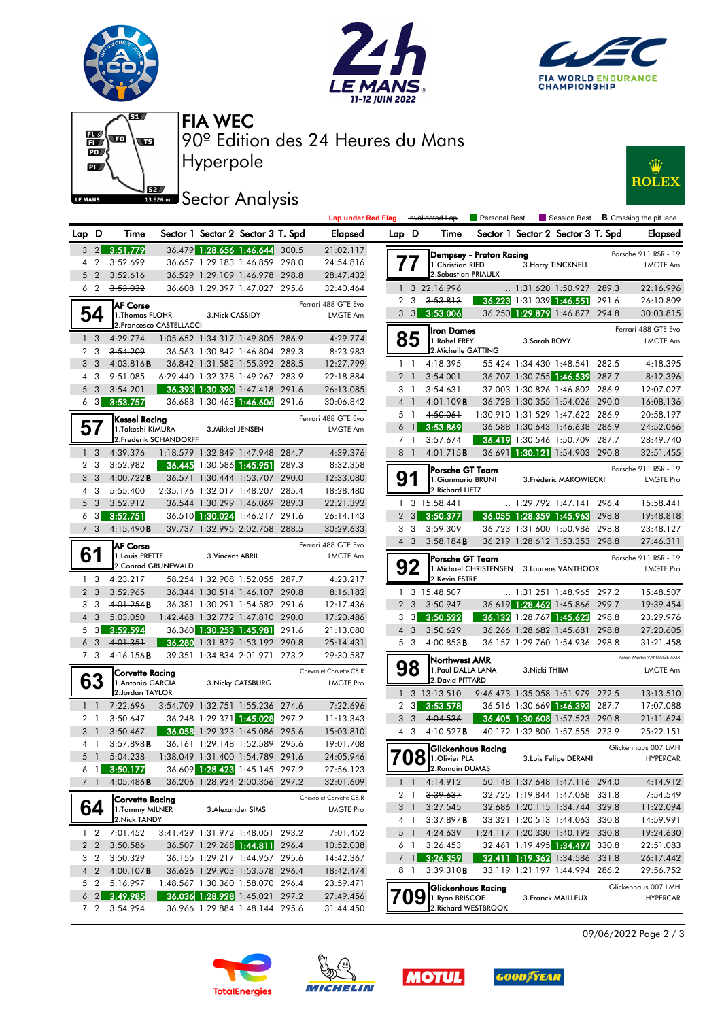







Hyperpole 90º Edition des 24 Heures du Mans FIA WEC

## **JEZ Sector Analysis**



|                                |                   |                                          |                                  |                  |                                                                    |       | <b>Lap under Red Flag</b> |                |                       | Invalidated Lap                     | Personal Best                              |                | Session Best                                                       |       | <b>B</b> Crossing the pit lane        |
|--------------------------------|-------------------|------------------------------------------|----------------------------------|------------------|--------------------------------------------------------------------|-------|---------------------------|----------------|-----------------------|-------------------------------------|--------------------------------------------|----------------|--------------------------------------------------------------------|-------|---------------------------------------|
| Lap D                          |                   | Time                                     |                                  |                  | Sector 1 Sector 2 Sector 3 T. Spd                                  |       | <b>Elapsed</b>            | Lap D          |                       | Time                                |                                            |                | Sector 1 Sector 2 Sector 3 T. Spd                                  |       | <b>Elapse</b>                         |
|                                |                   | $3\quad 2$ $3:51.779$                    |                                  |                  | 36.479 1:28.656 1:46.644                                           | 300.5 | 21:02.117                 |                |                       |                                     | Dempsey - Proton Racing                    |                |                                                                    |       | Porsche 911 RSR - 1                   |
| $\overline{4}$                 | $\overline{2}$    | 3:52.699                                 |                                  |                  | 36.657 1:29.183 1:46.859 298.0                                     |       | 24:54.816                 |                | 77                    | 1. Christian RIED                   |                                            |                | 3. Harry TINCKNELL                                                 |       | <b>LMGTE Ar</b>                       |
| 5                              | $\overline{2}$    | 3:52.616                                 |                                  |                  | 36.529 1:29.109 1:46.978 298.8                                     |       | 28:47.432                 |                |                       | 2. Sebastian PRIAULX                |                                            |                |                                                                    |       |                                       |
| 6 <sub>2</sub>                 |                   | 3:53.032                                 |                                  |                  | 36.608 1:29.397 1:47.027 295.6                                     |       | 32:40.464                 |                |                       | 3 22:16.996                         |                                            |                | 1:31.620 1:50.927 289.3                                            |       | 22:16.99                              |
|                                |                   | <b>AF Corse</b>                          |                                  |                  |                                                                    |       | Ferrari 488 GTE Evo       | $\overline{2}$ | 3                     | 3:53.813                            |                                            |                | 36.223 1:31.039 1:46.551 291.6                                     |       | 26:10.80                              |
|                                | 54                | 1. Thomas FLOHR                          |                                  | 3. Nick CASSIDY  |                                                                    |       | LMGTE Am                  |                |                       | $3\quad 3\quad 3:53.006$            |                                            |                | 36.250 1:29.879 1:46.877 294.8                                     |       | 30:03.81                              |
|                                |                   |                                          | 2. Francesco CASTELLACCI         |                  |                                                                    |       |                           |                |                       | <b>Iron Dames</b>                   |                                            |                |                                                                    |       | Ferrari 488 GTE Ev                    |
| $\mathbf{1}$<br>$\overline{2}$ | 3<br>3            | 4:29.774<br>3:54.209                     |                                  |                  | 1:05.652 1:34.317 1:49.805 286.9<br>36.563 1:30.842 1:46.804 289.3 |       | 4:29.774<br>8:23.983      |                | 85                    | 1.Rahel FREY<br>2. Michelle GATTING |                                            | 3.Sarah BOVY   |                                                                    |       | LMGTE Ar                              |
| 3 <sub>3</sub>                 |                   | 4:03.816B                                |                                  |                  | 36.842 1:31.582 1:55.392 288.5                                     |       | 12:27.799                 |                | $1\quad$              | 4:18.395                            |                                            |                | 55.424 1:34.430 1:48.541 282.5                                     |       | 4:18.39                               |
| 4                              | 3                 | 9:51.085                                 |                                  |                  | 6:29.440 1:32.378 1:49.267 283.9                                   |       | 22:18.884                 |                | 2 <sub>1</sub>        | 3:54.001                            |                                            |                | 36.707 1:30.755 1:46.539                                           | 287.7 | 8:12.39                               |
| 5 <sub>3</sub>                 |                   | 3:54.201                                 |                                  |                  | 36.393 1:30.390 1:47.418 291.6                                     |       | 26:13.085                 |                | 3 1                   | 3:54.631                            |                                            |                | 37.003 1:30.826 1:46.802 286.9                                     |       | 12:07.02                              |
|                                |                   | $6\quad 3\quad 3:53.757$                 |                                  |                  | 36.688 1:30.463 1:46.606                                           | 291.6 | 30:06.842                 |                | 4 <sup>1</sup>        | 4:01.109B                           |                                            |                | 36.728 1:30.355 1:54.026 290.0                                     |       | 16:08.13                              |
|                                |                   |                                          |                                  |                  |                                                                    |       | Ferrari 488 GTE Evo       |                | 5 1                   | 4:50.061                            |                                            |                | 1:30.910 1:31.529 1:47.622 286.9                                   |       | 20:58.19                              |
| 57                             |                   | <b>Kessel Racing</b><br>1.Takeshi KIMURA |                                  | 3. Mikkel JENSEN |                                                                    |       | LMGTE Am                  |                | $6 \text{ } 1$        | 3:53.869                            |                                            |                | 36.588 1:30.643 1:46.638 286.9                                     |       | 24:52.06                              |
|                                |                   |                                          | 2. Frederik SCHANDORFF           |                  |                                                                    |       |                           |                | 7 <sub>1</sub>        | 3:57.674                            |                                            |                | 36.419 1:30.546 1:50.709 287.7                                     |       | 28:49.74                              |
| 1 <sup>3</sup>                 |                   | 4:39.376                                 |                                  |                  | 1:18.579 1:32.849 1:47.948 284.7                                   |       | 4:39.376                  |                | 8 1                   | 4:01.715B                           |                                            |                | 36.691 1:30.121 1:54.903 290.8                                     |       | 32:51.45                              |
| 2 <sub>3</sub>                 |                   | 3:52.982                                 |                                  |                  | 36.445 1:30.586 1:45.951                                           | 289.3 | 8:32.358                  |                |                       | Porsche GT Team                     |                                            |                |                                                                    |       | Porsche 911 RSR - 1                   |
| 3                              | 3                 | 4:00.722B                                |                                  |                  | 36.571 1:30.444 1:53.707 290.0                                     |       | 12:33.080                 |                | 91                    | 1.Gianmaria BRUNI                   |                                            |                | 3. Frédéric MAKOWIECKI                                             |       | LMGTE Pr                              |
| $\overline{4}$                 | 3                 | 5:55.400                                 |                                  |                  | 2:35.176 1:32.017 1:48.207 285.4                                   |       | 18:28.480                 |                |                       | 2. Richard LIETZ                    |                                            |                |                                                                    |       |                                       |
| 5 <sub>3</sub>                 |                   | 3:52.912                                 |                                  |                  | 36.544 1:30.299 1:46.069 289.3                                     |       | 22:21.392                 |                |                       | 1 3 15:58.441                       |                                            |                | 1:29.792 1:47.141 296.4                                            |       | 15:58.44                              |
| 6                              | $\lceil 3 \rceil$ | 3:52.751                                 |                                  |                  | 36.510 1:30.024 1:46.217 291.6                                     |       | 26:14.143                 |                | $2 \quad 3$           | 3:50.377                            |                                            |                | 36.055 1:28.359 1:45.963 298.8                                     |       | 19:48.81                              |
|                                | 7 <sub>3</sub>    | 4:15.490B                                |                                  |                  | 39.737 1:32.995 2:02.758 288.5                                     |       | 30:29.633                 |                | 3 <sub>3</sub>        | 3:59.309                            |                                            |                | 36.723 1:31.600 1:50.986 298.8                                     |       | 23:48.12                              |
|                                |                   | <b>AF Corse</b>                          |                                  |                  |                                                                    |       | Ferrari 488 GTE Evo       |                | $4 \quad 3$           | 3:58.184B                           |                                            |                | 36.219 1:28.612 1:53.353 298.8                                     |       | 27:46.31                              |
| 61                             |                   | 1. Louis PRETTE                          |                                  | 3. Vincent ABRIL |                                                                    |       | LMGTE Am                  |                |                       | Porsche GT Team                     |                                            |                |                                                                    |       | Porsche 911 RSR - 1                   |
|                                |                   | 2. Conrad GRUNEWALD                      |                                  |                  |                                                                    |       |                           |                | 92                    |                                     | 1. Michael CHRISTENSEN 3. Laurens VANTHOOR |                |                                                                    |       | <b>LMGTE Pr</b>                       |
| $\mathbf{1}$<br>2 <sub>3</sub> | 3                 | 4:23.217<br>3:52.965                     |                                  |                  | 58.254 1:32.908 1:52.055 287.7<br>36.344 1:30.514 1:46.107 290.8   |       | 4:23.217                  |                |                       | 2.Kevin ESTRE<br>1 3 15:48.507      |                                            |                | 1:31.251 1:48.965 297.2                                            |       | 15:48.50                              |
| 3 <sub>3</sub>                 |                   | 4:01.254B                                |                                  |                  | 36.381 1:30.291 1:54.582 291.6                                     |       | 8:16.182<br>12:17.436     |                | 2 <sub>3</sub>        | 3:50.947                            |                                            |                | 36.619 1:28.462 1:45.866 299.7                                     |       | 19:39.45                              |
| $\overline{4}$                 | 3                 | 5:03.050                                 |                                  |                  | 1:42.468 1:32.772 1:47.810 290.0                                   |       | 17:20.486                 |                | $3 \quad 3$           | 3:50.522                            |                                            |                | 36.132 1:28.767 1:45.623 298.8                                     |       | 23:29.97                              |
| 5                              | 3                 | 3:52.594                                 |                                  |                  | 36.360 1:30.253 1:45.981                                           | 291.6 | 21:13.080                 |                | $4 \quad 3$           | 3:50.629                            |                                            |                | 36.266 1:28.682 1:45.681                                           | 298.8 | 27:20.60                              |
| 6 <sub>3</sub>                 |                   | 4:01.351                                 |                                  |                  | 36.280 1:31.879 1:53.192 290.8                                     |       | 25:14.431                 |                | 5 3                   | $4:00.853$ <b>B</b>                 |                                            |                | 36.157 1:29.760 1:54.936 298.8                                     |       | 31:21.45                              |
|                                | 7 3               | 4:16.156B                                |                                  |                  | 39.351 1:34.834 2:01.971 273.2                                     |       | 29:30.587                 |                |                       |                                     |                                            |                |                                                                    |       | Aston Martin VANTAGE AM               |
|                                |                   | <b>Corvette Racing</b>                   |                                  |                  |                                                                    |       | Chevrolet Corvette C8.R   |                | 98                    | Northwest AMR<br>1. Paul DALLA LANA |                                            | 3. Nicki THIIM |                                                                    |       | LMGTE Ar                              |
|                                | 63                | 1. Antonio GARCIA                        |                                  |                  | 3. Nicky CATSBURG                                                  |       | <b>LMGTE Pro</b>          |                |                       | 2. David PITTARD                    |                                            |                |                                                                    |       |                                       |
|                                |                   | 2.Jordan TAYLOR                          |                                  |                  |                                                                    |       |                           |                |                       | $1 \quad 3 \quad 13:13.510$         |                                            |                | 9:46.473 1:35.058 1:51.979 272.5                                   |       | 13:13.51                              |
| $1\quad$                       |                   | 7:22.696                                 |                                  |                  | 3:54.709 1:32.751 1:55.236 274.6                                   |       | 7:22.696                  |                | $2 \quad 3$           | 3:53.578                            |                                            |                | 36.516 1:30.669 1:46.393                                           | 287.7 | 17:07.08                              |
| 2 <sub>1</sub>                 |                   | 3:50.647                                 |                                  |                  | 36.248 1:29.371 1:45.028 297.2                                     |       | 11:13.343                 |                | 3 <sub>3</sub>        | 4:04.536                            |                                            |                | 36.405 1:30.608 1:57.523 290.8                                     |       | 21:11.62                              |
| 3 <sup>1</sup>                 |                   | 3:50.467                                 |                                  |                  | 36.058 1:29.323 1:45.086 295.6                                     |       | 15:03.810                 |                | 4 3                   | 4:10.527 <b>B</b>                   |                                            |                | 40.172 1:32.800 1:57.555 273.9                                     |       | 25:22.15                              |
| 4 1                            |                   | 3:57.898B                                |                                  |                  | 36.161 1:29.148 1:52.589 295.6                                     |       | 19:01.708                 |                |                       |                                     | <b>Glickenhaus Racing</b>                  |                |                                                                    |       | Glickenhaus 007 LMI                   |
| 5 <sub>1</sub>                 |                   | 5:04.238                                 | 1:38.049 1:31.400 1:54.789 291.6 |                  |                                                                    |       | 24:05.946                 |                |                       | $708$ 1.0 livier PLA                |                                            |                | 3. Luis Felipe DERANI                                              |       | <b>HYPERCA</b>                        |
|                                |                   | $6$ 1 3:50.177                           |                                  |                  | 36.609 1:28.423 1:45.145 297.2                                     |       | 27:56.123                 |                |                       | 2. Romain DUMAS                     |                                            |                |                                                                    |       |                                       |
| 7 1                            |                   | 4:05.486B                                |                                  |                  | 36.206 1:28.924 2:00.356 297.2                                     |       | 32:01.609                 |                |                       | $1 \quad 1 \quad 4:14.912$          |                                            |                | 50.148 1:37.648 1:47.116 294.0                                     |       | 4:14.91                               |
|                                |                   | <b>Corvette Racing</b>                   |                                  |                  |                                                                    |       | Chevrolet Corvette C8.R   |                | 2 1                   | <del>3:39.637</del>                 |                                            |                | 32.725 1:19.844 1:47.068 331.8                                     |       | 7:54.54                               |
|                                | 64                | 1. Tommy MILNER                          |                                  |                  | 3. Alexander SIMS                                                  |       | LMGTE Pro                 |                | 31                    | 3:27.545                            |                                            |                | 32.686 1:20.115 1:34.744 329.8                                     |       | 11:22.09                              |
|                                |                   | 2. Nick TANDY                            |                                  |                  | 3:41.429 1:31.972 1:48.051 293.2                                   |       |                           |                | 4 1                   | $3:37.897$ <b>B</b>                 |                                            |                | 33.321 1:20.513 1:44.063 330.8                                     |       | 14:59.99                              |
|                                |                   | 1 2 7:01.452<br>2 2 3:50.586             |                                  |                  | 36.507 1:29.268 1:44.811 296.4                                     |       | 7:01.452<br>10:52.038     |                | 5 <sub>1</sub><br>6 1 | 4:24.639<br>3:26.453                |                                            |                | 1:24.117 1:20.330 1:40.192 330.8<br>32.461 1:19.495 1:34.497 330.8 |       | 19:24.63<br>22:51.08                  |
|                                |                   | 3 2 3:50.329                             |                                  |                  | 36.155 1:29.217 1:44.957 295.6                                     |       | 14:42.367                 |                | 7 <sup>1</sup>        | 3:26.359                            |                                            |                | 32.411 1:19.362 1:34.586 331.8                                     |       | 26:17.44                              |
|                                |                   | 4 2 4:00.107 <b>B</b>                    |                                  |                  | 36.626 1:29.903 1:53.578 296.4                                     |       | 18:42.474                 |                | 81                    | 3:39.310B                           |                                            |                | 33.119 1:21.197 1:44.994 286.2                                     |       | 29:56.75                              |
|                                | 5 <sub>2</sub>    | 5:16.997                                 |                                  |                  | 1:48.567 1:30.360 1:58.070 296.4                                   |       | 23:59.471                 |                |                       |                                     |                                            |                |                                                                    |       |                                       |
|                                |                   | $6\quad 2$ 3:49.985                      |                                  |                  | 36.036 1:28.928 1:45.021 297.2                                     |       | 27:49.456                 |                | 709                   | 1. Ryan BRISCOE                     | Glickenhaus Racing                         |                | 3. Franck MAILLEUX                                                 |       | Glickenhaus 007 LMI<br><b>HYPERCA</b> |
|                                |                   | 7 2 3:54.994                             |                                  |                  | 36.966 1:29.884 1:48.144 295.6                                     |       | 31:44.450                 |                |                       |                                     | 2. Richard WESTBROOK                       |                |                                                                    |       |                                       |
|                                |                   |                                          |                                  |                  |                                                                    |       |                           |                |                       |                                     |                                            |                |                                                                    |       |                                       |

| D              | Time                                       | Sector 1 Sector 2 Sector 3 T. Spd                                  |                   |       | Elapsed                 | Lap D          |                       | Time                                                          |                            | Sector 1 Sector 2 Sector 3 T. Spd                                |       | <b>Elapsed</b>           |
|----------------|--------------------------------------------|--------------------------------------------------------------------|-------------------|-------|-------------------------|----------------|-----------------------|---------------------------------------------------------------|----------------------------|------------------------------------------------------------------|-------|--------------------------|
| $\overline{2}$ | 3:51.779                                   | 36.479 1:28.656 1:46.644                                           |                   | 300.5 | 21:02.117               |                |                       | Dempsey - Proton Racing                                       |                            |                                                                  |       | Porsche 911 RSR - 19     |
|                | 3:52.699                                   | 36.657 1:29.183 1:46.859 298.0                                     |                   |       | 24:54.816               |                |                       | 1. Christian RIED                                             |                            | 3. Harry TINCKNELL                                               |       | <b>LMGTE Am</b>          |
| 2              | 3:52.616                                   | 36.529 1:29.109 1:46.978 298.8                                     |                   |       | 28:47.432               |                |                       | 2. Sebastian PRIAULX                                          |                            |                                                                  |       |                          |
|                | 3:53.032                                   | 36.608 1:29.397 1:47.027 295.6                                     |                   |       | 32:40.464               | $\mathbf{1}$   |                       | 3 22:16.996                                                   | $\ldots$ 1:31.620 1:50.927 |                                                                  | 289.3 | 22:16.996                |
|                | <b>IAF Corse</b>                           |                                                                    |                   |       | Ferrari 488 GTE Evo     | $\overline{2}$ | 3                     | 3:53.813                                                      | 36.223 1:31.039 1:46.551   |                                                                  | 291.6 | 26:10.809                |
|                | 1. Thomas FLOHR                            | 3. Nick CASSIDY                                                    |                   |       | <b>LMGTE Am</b>         |                | $3 \quad 3$           | 3:53.006                                                      |                            | 36.250 1:29.879 1:46.877                                         | 294.8 | 30:03.815                |
|                | 2. Francesco CASTELLACCI                   |                                                                    |                   |       |                         |                |                       | <b>Iron Dames</b>                                             |                            |                                                                  |       | Ferrari 488 GTE Evo      |
|                | 4:29.774                                   | 1:05.652 1:34.317 1:49.805 286.9                                   |                   |       | 4:29.774                |                | 85                    | 1.Rahel FREY                                                  | 3.Sarah BOVY               |                                                                  |       | <b>LMGTE Am</b>          |
| 3              | 3:54.209                                   | 36.563 1:30.842 1:46.804 289.3                                     |                   |       | 8:23.983                |                |                       | 2. Michelle GATTING                                           |                            |                                                                  |       |                          |
|                | 4:03.816B                                  | 36.842 1:31.582 1:55.392 288.5                                     |                   |       | 12:27.799               |                | $1\quad$              | 4:18.395                                                      |                            | 55.424 1:34.430 1:48.541 282.5                                   |       | 4:18.395                 |
| 3              | 9:51.085                                   | 6:29.440 1:32.378 1:49.267 283.9                                   |                   |       | 22:18.884               |                | 2 <sub>1</sub>        | 3:54.001                                                      |                            | 36.707 1:30.755 1:46.539                                         | 287.7 | 8:12.396                 |
| 3              | 3:54.201                                   | 36.393 1:30.390 1:47.418 291.6                                     |                   |       | 26:13.085               |                | 3 1                   | 3:54.631                                                      |                            | 37.003 1:30.826 1:46.802 286.9                                   |       | 12:07.027                |
| 3              | 3:53.757                                   | 36.688 1:30.463 1:46.606                                           |                   | 291.6 | 30:06.842               | $\overline{4}$ | $\overline{1}$        | 4:01.109B                                                     |                            | 36.728 1:30.355 1:54.026 290.0                                   |       | 16:08.136                |
|                | Kessel Racing                              |                                                                    |                   |       | Ferrari 488 GTE Evo     |                | 5 1<br>$\overline{1}$ | 4:50.061<br>3:53.869                                          |                            | 1:30.910 1:31.529 1:47.622 286.9                                 |       | 20:58.197                |
|                | 1.Takeshi KIMURA<br>2. Frederik SCHANDORFF | 3. Mikkel JENSEN                                                   |                   |       | LMGTE Am                | 6              | 7 <sub>1</sub>        | 3:57.674                                                      |                            | 36.588 1:30.643 1:46.638 286.9<br>36.419 1:30.546 1:50.709 287.7 |       | 24:52.066<br>28:49.740   |
| 3              | 4:39.376                                   | 1:18.579 1:32.849 1:47.948 284.7                                   |                   |       | 4:39.376                | 8              | $\mathbf{1}$          | 4:01.715B                                                     |                            | 36.691 1:30.121 1:54.903 290.8                                   |       | 32:51.455                |
|                | 3:52.982                                   | 36.445 1:30.586 1:45.951                                           |                   | 289.3 | 8:32.358                |                |                       |                                                               |                            |                                                                  |       |                          |
|                | 4:00.722B                                  | 36.571 1:30.444 1:53.707 290.0                                     |                   |       | 12:33.080               |                | 91                    | Porsche GT Team                                               |                            |                                                                  |       | Porsche 911 RSR - 19     |
| 3              | 5:55.400                                   | 2:35.176 1:32.017 1:48.207 285.4                                   |                   |       | 18:28.480               |                |                       | 1. Gianmaria BRUNI<br>2. Richard LIETZ                        |                            | 3. Frédéric MAKOWIECKI                                           |       | <b>LMGTE Pro</b>         |
| 3              | 3:52.912                                   | 36.544 1:30.299 1:46.069 289.3                                     |                   |       | 22:21.392               |                |                       | 1 3 15:58.441                                                 |                            | $\ldots$ 1:29.792 1:47.141 296.4                                 |       | 15:58.441                |
|                | 3:52.751                                   | 36.510 1:30.024 1:46.217 291.6                                     |                   |       | 26:14.143               | $\overline{2}$ | 3                     | 3:50.377                                                      |                            | 36.055 1:28.359 1:45.963                                         | 298.8 | 19:48.818                |
| 3              | 4:15.490B                                  | 39.737 1:32.995 2:02.758 288.5                                     |                   |       | 30:29.633               | 3              | 3                     | 3:59.309                                                      |                            | 36.723 1:31.600 1:50.986 298.8                                   |       | 23:48.127                |
|                |                                            |                                                                    |                   |       | Ferrari 488 GTE Evo     |                | $4 \quad 3$           | 3:58.184B                                                     |                            | 36.219 1:28.612 1:53.353 298.8                                   |       | 27:46.311                |
|                | <b>AF Corse</b><br>1. Louis PRETTE         | 3. Vincent ABRIL                                                   |                   |       | <b>LMGTE Am</b>         |                |                       |                                                               |                            |                                                                  |       | Porsche 911 RSR - 19     |
|                | 2. Conrad GRUNEWALD                        |                                                                    |                   |       |                         |                | 92                    | Porsche GT Team<br>1. Michael CHRISTENSEN 3. Laurens VANTHOOR |                            |                                                                  |       | <b>LMGTE Pro</b>         |
|                | 4:23.217                                   | 58.254 1:32.908 1:52.055 287.7                                     |                   |       | 4:23.217                |                |                       | 2.Kevin ESTRE                                                 |                            |                                                                  |       |                          |
| 3              | 3:52.965                                   | 36.344 1:30.514 1:46.107 290.8                                     |                   |       | 8:16.182                |                |                       | 1 3 15:48.507                                                 |                            | $\ldots$ 1:31.251 1:48.965 297.2                                 |       | 15:48.507                |
|                | 4:01.254B                                  | 36.381 1:30.291 1:54.582 291.6                                     |                   |       | 12:17.436               | $\overline{2}$ | 3                     | 3:50.947                                                      |                            | 36.619 1:28.462 1:45.866 299.7                                   |       | 19:39.454                |
| 3              | 5:03.050                                   | 1:42.468 1:32.772 1:47.810 290.0                                   |                   |       | 17:20.486               | 3              | -3 I                  | 3:50.522                                                      |                            | 36.132 1:28.767 1:45.623                                         | 298.8 | 23:29.976                |
| 3              | 3:52.594                                   | 36.360 1:30.253 1:45.981                                           |                   | 291.6 | 21:13.080               |                | $4 \quad 3$           | 3:50.629                                                      | 36.266 1:28.682 1:45.681   |                                                                  | 298.8 | 27:20.605                |
| 3              | 4:01.351                                   | 36.280 1:31.879 1:53.192 290.8                                     |                   |       | 25:14.431               |                | 5 <sub>3</sub>        | 4:00.853B                                                     |                            | 36.157 1:29.760 1:54.936 298.8                                   |       | 31:21.458                |
|                | 4:16.156B                                  | 39.351 1:34.834 2:01.971 273.2                                     |                   |       | 29:30.587               |                |                       | Northwest AMR                                                 |                            |                                                                  |       | Aston Martin VANTAGE AMR |
|                | <b>Corvette Racing</b>                     |                                                                    |                   |       | Chevrolet Corvette C8.R |                | 98                    | 1. Paul DALLA LANA                                            | 3. Nicki THIIM             |                                                                  |       | <b>LMGTE Am</b>          |
|                | 1. Antonio GARCIA                          |                                                                    | 3. Nicky CATSBURG |       | LMGTE Pro               |                |                       | 2. David PITTARD                                              |                            |                                                                  |       |                          |
|                | 2.Jordan TAYLOR                            |                                                                    |                   |       |                         | $\mathbf{1}$   |                       | 3 13:13.510                                                   |                            | 9:46.473 1:35.058 1:51.979 272.5                                 |       | 13:13.510                |
|                | 7:22.696                                   | 3:54.709 1:32.751 1:55.236 274.6                                   |                   |       | 7:22.696                | $\mathbf{2}$   | 3                     | 3:53.578                                                      |                            | 36.516 1:30.669 1:46.393 287.7                                   |       | 17:07.088                |
|                | 3:50.647                                   | 36.248 1:29.371 1:45.028 297.2                                     |                   |       | 11:13.343               | 3              | 3                     | 4:04.536                                                      |                            | 36.405 1:30.608 1:57.523 290.8                                   |       | 21:11.624                |
|                | 3:50.467                                   | 36.058 1:29.323 1:45.086 295.6                                     |                   |       | 15:03.810               | 4              | 3                     | 4:10.527B                                                     |                            | 40.172 1:32.800 1:57.555 273.9                                   |       | 25:22.151                |
|                | 3:57.898B                                  | 36.161 1:29.148 1:52.589 295.6                                     |                   |       | 19:01.708               |                |                       | <b>Glickenhaus Racing</b>                                     |                            |                                                                  |       | Glickenhaus 007 LMH      |
|                | 5:04.238<br>3:50.177                       | 1:38.049 1:31.400 1:54.789 291.6<br>36.609 1:28.423 1:45.145 297.2 |                   |       | 24:05.946               |                | 08                    | 1.Olivier PLA<br>2. Romain DUMAS                              |                            | 3. Luis Felipe DERANI                                            |       | <b>HYPERCAR</b>          |
|                | 4:05.486B                                  | 36.206 1:28.924 2:00.356 297.2                                     |                   |       | 27:56.123<br>32:01.609  |                | $1\quad1$             | 4:14.912                                                      |                            | 50.148 1:37.648 1:47.116 294.0                                   |       | 4:14.912                 |
|                |                                            |                                                                    |                   |       |                         |                | 2 1                   | 3:39.637                                                      |                            | 32.725 1:19.844 1:47.068 331.8                                   |       | 7:54.549                 |
|                | <b>Corvette Racing</b>                     |                                                                    |                   |       | Chevrolet Corvette C8.R |                | 3 <sup>1</sup>        | 3:27.545                                                      |                            | 32.686 1:20.115 1:34.744 329.8                                   |       | 11:22.094                |
|                | 1. Tommy MILNER<br>2.Nick TANDY            | 3. Alexander SIMS                                                  |                   |       | <b>LMGTE Pro</b>        |                | 4 1                   | 3:37.897B                                                     |                            | 33.321 1:20.513 1:44.063 330.8                                   |       | 14:59.991                |
| 2              | 7:01.452                                   | 3:41.429 1:31.972 1:48.051 293.2                                   |                   |       | 7:01.452                |                | $5-1$                 | 4:24.639                                                      |                            | 1:24.117 1:20.330 1:40.192 330.8                                 |       | 19:24.630                |
| 2              | 3:50.586                                   | 36.507 1:29.268 1:44.811 296.4                                     |                   |       | 10:52.038               |                | 6 1                   | 3:26.453                                                      |                            | 32.461 1:19.495 1:34.497                                         | 330.8 | 22:51.083                |
| 2              | 3:50.329                                   | 36.155 1:29.217 1:44.957 295.6                                     |                   |       | 14:42.367               |                | $7$ 1                 | 3:26.359                                                      |                            | 32.411 1:19.362 1:34.586 331.8                                   |       | 26:17.442                |
| $\overline{2}$ | $4:00.107$ <b>B</b>                        | 36.626 1:29.903 1:53.578 296.4                                     |                   |       | 18:42.474               |                | 81                    | 3:39.310B                                                     |                            | 33.119 1:21.197 1:44.994 286.2                                   |       | 29:56.752                |
| 2              | 5:16.997                                   | 1:48.567 1:30.360 1:58.070 296.4                                   |                   |       | 23:59.471               |                |                       |                                                               |                            |                                                                  |       | Glickenhaus 007 LMH      |
| 2              | 3:49.985                                   | 36.036 1:28.928 1:45.021 297.2                                     |                   |       | 27:49.456               |                | 9                     | <b>Glickenhaus Racing</b><br>1. Ryan BRISCOE                  |                            | 3. Franck MAILLEUX                                               |       | <b>HYPERCAR</b>          |
| 2              | 3:54.994                                   | 36.966 1:29.884 1:48.144 295.6                                     |                   |       | 31:44.450               |                |                       | 2. Richard WESTBROOK                                          |                            |                                                                  |       |                          |

09/06/2022 Page 2 / 3